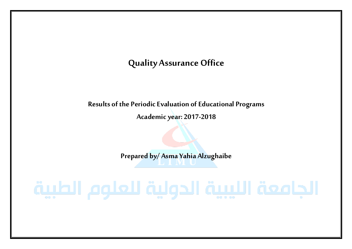# **Quality Assurance Office**

**Results of the Periodic Evaluation of Educational Programs**

**Academic year: 2017-2018**

**Prepared by/ Asma Yahia Alzughaibe**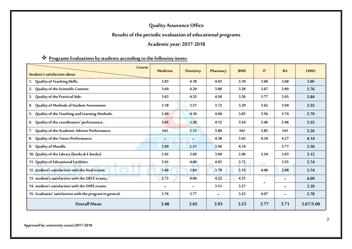# **Quality Assurance Office**

# **Results of the periodic evaluation of educational programs**

### **Academic year: 2017-2018**

### **Programe Evaluations by students according to the followiny items:**

| Course<br><b>Student's satisfaction about</b>            | <b>Medicine</b> | Dentistry | Pharmacy | <b>BMS</b> | IT   | <b>BA</b>      | <b>LIMU</b> |
|----------------------------------------------------------|-----------------|-----------|----------|------------|------|----------------|-------------|
| 1. Quality of Teaching Skills.                           | 3.83            | 4.18      | 4.03     | 3.39       | 3.68 | 3.68           | 3.80        |
| Quality of the Scientific Content.<br>2.                 | 3.69            | 4.20      | 3.80     | 3.28       | 3.67 | 3.89           | 3.76        |
| Quality of the Practical Side.<br>3.                     | 3.63            | 4.25      | 4.50     | 3.26       | 3.77 | 3.65           | 3.84        |
| 4. Quality of Methods of Student Assessment              | 3.18            | 3.57      | 3.72     | 3.29       | 3.62 | 3.94           | 3.55        |
| Quality of the Teaching and Learning Methods.<br>5.      | 3.49            | 4.10      | 4.04     | 3.83       | 3.56 | 3.74           | 3.79        |
| Quality of the coordinators' performance<br>6.           | 3.45            | 3.30      | 4.12     | 3.54       | 3.46 | 3.46           | 3.55        |
| Quality of the Academic Advisor Performance.<br>7.       | <b>NU</b>       | 2.13      | 3.80     | <b>NU</b>  | 3.85 | <b>NU</b>      | 3.26        |
| Quality of the Tutors Performance.<br>8.                 | $\sim$          | ٠         | 4.38     | 3.65       | 4.29 | 4.27           | 4.14        |
| 9. Quality of Moodle.                                    | 3.09            | 2.51      | 3.96     | 4.14       |      | 3.77           | 3.50        |
| 10. Quality of the Library (books & E-books)             | 2.92            | 3.69      | 3.04     | 2.96       | 3.54 | 3.03           | 3.12        |
| 11. Quality of Educational Facilities.                   | 3.41            | 4.00      | 4.03     | 3.72       | e e  | 3.55           | 3.74        |
| 12. student's satisfaction with the final exams.         | 3.60            | 3.84      | 3.79     | 3.33       | 4.00 | 3.88           | 3.74        |
| 13. student's satisfaction with the OSCE exams.          | 3.72            | 4.00      | 4.32     | 4.33       |      | $\blacksquare$ | 4.09        |
| 14. student's satisfaction with the OSPE exams.          | $\blacksquare$  |           | 3.51     | 3.27       |      | $\blacksquare$ | 3.39        |
| 15. Graduates' satisfaction with the program in general. | 3.76            | 3.77      |          | 3.53       | 4.07 | $\blacksquare$ | 3.78        |
| <b>Overall Mean</b>                                      | 3.48            | 3.65      | 3.93     | 3.53       | 3.77 | 3.71           | 3.67/5.00   |